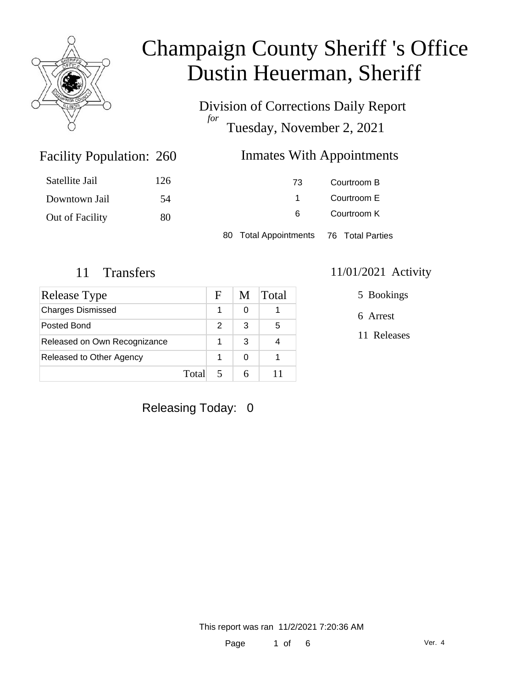

Division of Corrections Daily Report *for* Tuesday, November 2, 2021

### Inmates With Appointments

| Satellite Jail  | 126 | 73                                     | Courtroom B |  |
|-----------------|-----|----------------------------------------|-------------|--|
| Downtown Jail   | -54 |                                        | Courtroom E |  |
| Out of Facility | 80  | -6                                     | Courtroom K |  |
|                 |     | 80 Total Appointments 76 Total Parties |             |  |

Facility Population: 260

| <b>Release Type</b>          |       | F | M | Total |
|------------------------------|-------|---|---|-------|
| <b>Charges Dismissed</b>     |       |   | 0 |       |
| Posted Bond                  |       | 2 | 3 | 5     |
| Released on Own Recognizance |       |   | З |       |
| Released to Other Agency     |       |   | ∩ |       |
|                              | Total |   |   |       |

#### 11 Transfers 11/01/2021 Activity

5 Bookings

6 Arrest

11 Releases

Releasing Today: 0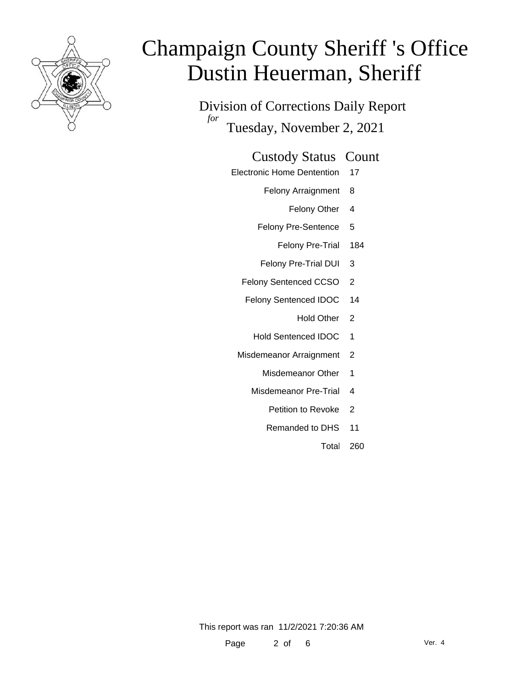

Division of Corrections Daily Report *for* Tuesday, November 2, 2021

#### Custody Status Count

- Electronic Home Dentention 17
	- Felony Arraignment 8
		- Felony Other 4
	- Felony Pre-Sentence 5
		- Felony Pre-Trial 184
	- Felony Pre-Trial DUI 3
	- Felony Sentenced CCSO 2
	- Felony Sentenced IDOC 14
		- Hold Other 2
		- Hold Sentenced IDOC 1
	- Misdemeanor Arraignment 2
		- Misdemeanor Other 1
		- Misdemeanor Pre-Trial 4
			- Petition to Revoke 2
			- Remanded to DHS 11
				- Total 260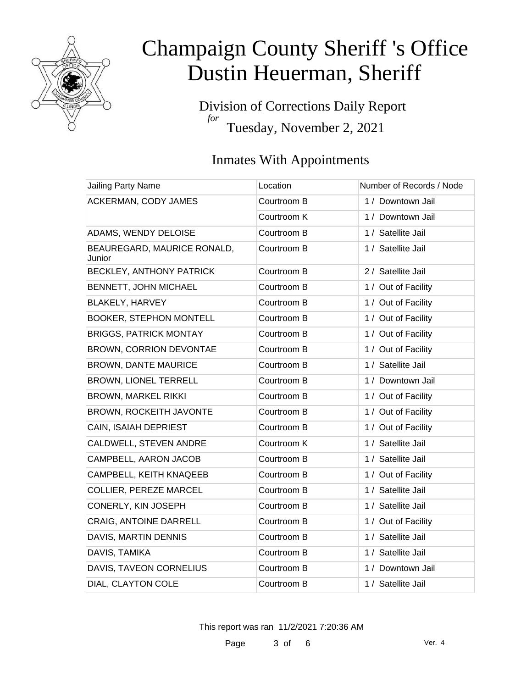

Division of Corrections Daily Report *for* Tuesday, November 2, 2021

### Inmates With Appointments

| Jailing Party Name                    | Location    | Number of Records / Node |
|---------------------------------------|-------------|--------------------------|
| <b>ACKERMAN, CODY JAMES</b>           | Courtroom B | 1 / Downtown Jail        |
|                                       | Courtroom K | 1 / Downtown Jail        |
| ADAMS, WENDY DELOISE                  | Courtroom B | 1 / Satellite Jail       |
| BEAUREGARD, MAURICE RONALD,<br>Junior | Courtroom B | 1 / Satellite Jail       |
| BECKLEY, ANTHONY PATRICK              | Courtroom B | 2 / Satellite Jail       |
| BENNETT, JOHN MICHAEL                 | Courtroom B | 1 / Out of Facility      |
| BLAKELY, HARVEY                       | Courtroom B | 1 / Out of Facility      |
| <b>BOOKER, STEPHON MONTELL</b>        | Courtroom B | 1 / Out of Facility      |
| <b>BRIGGS, PATRICK MONTAY</b>         | Courtroom B | 1 / Out of Facility      |
| BROWN, CORRION DEVONTAE               | Courtroom B | 1 / Out of Facility      |
| <b>BROWN, DANTE MAURICE</b>           | Courtroom B | 1 / Satellite Jail       |
| BROWN, LIONEL TERRELL                 | Courtroom B | 1 / Downtown Jail        |
| <b>BROWN, MARKEL RIKKI</b>            | Courtroom B | 1 / Out of Facility      |
| <b>BROWN, ROCKEITH JAVONTE</b>        | Courtroom B | 1 / Out of Facility      |
| CAIN, ISAIAH DEPRIEST                 | Courtroom B | 1 / Out of Facility      |
| CALDWELL, STEVEN ANDRE                | Courtroom K | 1 / Satellite Jail       |
| CAMPBELL, AARON JACOB                 | Courtroom B | 1 / Satellite Jail       |
| CAMPBELL, KEITH KNAQEEB               | Courtroom B | 1 / Out of Facility      |
| <b>COLLIER, PEREZE MARCEL</b>         | Courtroom B | 1 / Satellite Jail       |
| CONERLY, KIN JOSEPH                   | Courtroom B | 1 / Satellite Jail       |
| CRAIG, ANTOINE DARRELL                | Courtroom B | 1 / Out of Facility      |
| DAVIS, MARTIN DENNIS                  | Courtroom B | 1 / Satellite Jail       |
| DAVIS, TAMIKA                         | Courtroom B | 1 / Satellite Jail       |
| DAVIS, TAVEON CORNELIUS               | Courtroom B | 1 / Downtown Jail        |
| DIAL, CLAYTON COLE                    | Courtroom B | 1 / Satellite Jail       |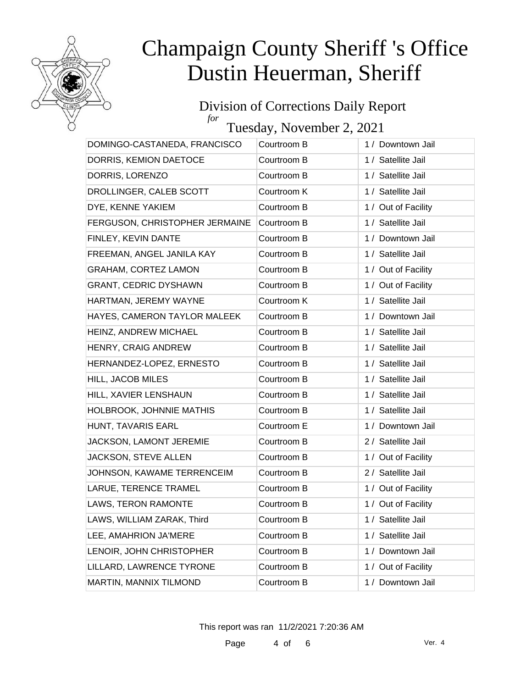

#### Division of Corrections Daily Report *for*

Tuesday, November 2, 2021

| DOMINGO-CASTANEDA, FRANCISCO   | Courtroom B | 1 / Downtown Jail   |
|--------------------------------|-------------|---------------------|
| DORRIS, KEMION DAETOCE         | Courtroom B | 1 / Satellite Jail  |
| DORRIS, LORENZO                | Courtroom B | 1 / Satellite Jail  |
| DROLLINGER, CALEB SCOTT        | Courtroom K | 1 / Satellite Jail  |
| DYE, KENNE YAKIEM              | Courtroom B | 1 / Out of Facility |
| FERGUSON, CHRISTOPHER JERMAINE | Courtroom B | 1 / Satellite Jail  |
| FINLEY, KEVIN DANTE            | Courtroom B | 1 / Downtown Jail   |
| FREEMAN, ANGEL JANILA KAY      | Courtroom B | 1 / Satellite Jail  |
| <b>GRAHAM, CORTEZ LAMON</b>    | Courtroom B | 1 / Out of Facility |
| <b>GRANT, CEDRIC DYSHAWN</b>   | Courtroom B | 1 / Out of Facility |
| HARTMAN, JEREMY WAYNE          | Courtroom K | 1 / Satellite Jail  |
| HAYES, CAMERON TAYLOR MALEEK   | Courtroom B | 1 / Downtown Jail   |
| HEINZ, ANDREW MICHAEL          | Courtroom B | 1 / Satellite Jail  |
| HENRY, CRAIG ANDREW            | Courtroom B | 1 / Satellite Jail  |
| HERNANDEZ-LOPEZ, ERNESTO       | Courtroom B | 1 / Satellite Jail  |
| HILL, JACOB MILES              | Courtroom B | 1 / Satellite Jail  |
| HILL, XAVIER LENSHAUN          | Courtroom B | 1 / Satellite Jail  |
| HOLBROOK, JOHNNIE MATHIS       | Courtroom B | 1 / Satellite Jail  |
| HUNT, TAVARIS EARL             | Courtroom E | 1 / Downtown Jail   |
| JACKSON, LAMONT JEREMIE        | Courtroom B | 2 / Satellite Jail  |
| JACKSON, STEVE ALLEN           | Courtroom B | 1 / Out of Facility |
| JOHNSON, KAWAME TERRENCEIM     | Courtroom B | 2 / Satellite Jail  |
| LARUE, TERENCE TRAMEL          | Courtroom B | 1 / Out of Facility |
| LAWS, TERON RAMONTE            | Courtroom B | 1 / Out of Facility |
| LAWS, WILLIAM ZARAK, Third     | Courtroom B | 1 / Satellite Jail  |
| LEE, AMAHRION JA'MERE          | Courtroom B | 1 / Satellite Jail  |
| LENOIR, JOHN CHRISTOPHER       | Courtroom B | 1 / Downtown Jail   |
| LILLARD, LAWRENCE TYRONE       | Courtroom B | 1 / Out of Facility |
| MARTIN, MANNIX TILMOND         | Courtroom B | 1 / Downtown Jail   |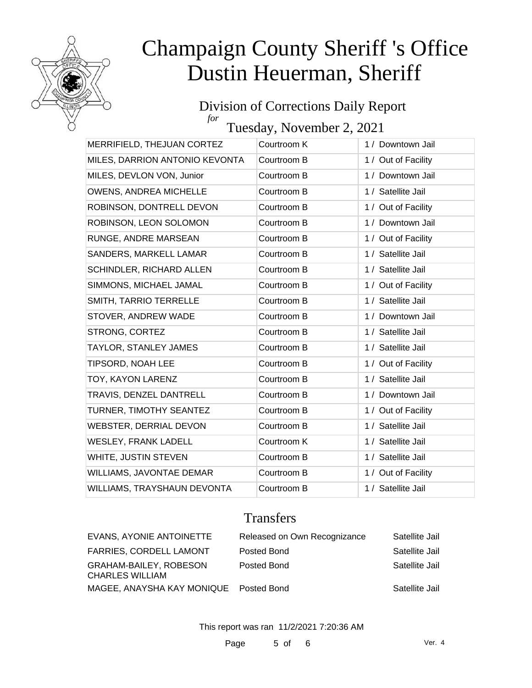

#### Division of Corrections Daily Report *for*

Tuesday, November 2, 2021

| MERRIFIELD, THEJUAN CORTEZ     | Courtroom K | 1 / Downtown Jail   |
|--------------------------------|-------------|---------------------|
| MILES, DARRION ANTONIO KEVONTA | Courtroom B | 1 / Out of Facility |
| MILES, DEVLON VON, Junior      | Courtroom B | 1 / Downtown Jail   |
| OWENS, ANDREA MICHELLE         | Courtroom B | 1 / Satellite Jail  |
| ROBINSON, DONTRELL DEVON       | Courtroom B | 1 / Out of Facility |
| ROBINSON, LEON SOLOMON         | Courtroom B | 1 / Downtown Jail   |
| RUNGE, ANDRE MARSEAN           | Courtroom B | 1 / Out of Facility |
| <b>SANDERS, MARKELL LAMAR</b>  | Courtroom B | 1 / Satellite Jail  |
| SCHINDLER, RICHARD ALLEN       | Courtroom B | 1 / Satellite Jail  |
| SIMMONS, MICHAEL JAMAL         | Courtroom B | 1 / Out of Facility |
| SMITH, TARRIO TERRELLE         | Courtroom B | 1 / Satellite Jail  |
| STOVER, ANDREW WADE            | Courtroom B | 1 / Downtown Jail   |
| STRONG, CORTEZ                 | Courtroom B | 1 / Satellite Jail  |
| TAYLOR, STANLEY JAMES          | Courtroom B | 1 / Satellite Jail  |
| TIPSORD, NOAH LEE              | Courtroom B | 1 / Out of Facility |
| TOY, KAYON LARENZ              | Courtroom B | 1 / Satellite Jail  |
| TRAVIS, DENZEL DANTRELL        | Courtroom B | 1 / Downtown Jail   |
| TURNER, TIMOTHY SEANTEZ        | Courtroom B | 1 / Out of Facility |
| WEBSTER, DERRIAL DEVON         | Courtroom B | 1 / Satellite Jail  |
| <b>WESLEY, FRANK LADELL</b>    | Courtroom K | 1 / Satellite Jail  |
| WHITE, JUSTIN STEVEN           | Courtroom B | 1 / Satellite Jail  |
| WILLIAMS, JAVONTAE DEMAR       | Courtroom B | 1 / Out of Facility |
| WILLIAMS, TRAYSHAUN DEVONTA    | Courtroom B | 1 / Satellite Jail  |

### **Transfers**

| EVANS, AYONIE ANTOINETTE                         | Released on Own Recognizance | Satellite Jail |
|--------------------------------------------------|------------------------------|----------------|
| <b>FARRIES, CORDELL LAMONT</b>                   | Posted Bond                  | Satellite Jail |
| <b>GRAHAM-BAILEY, ROBESON</b><br>CHARLES WILLIAM | Posted Bond                  | Satellite Jail |
| MAGEE, ANAYSHA KAY MONIQUE Posted Bond           |                              | Satellite Jail |